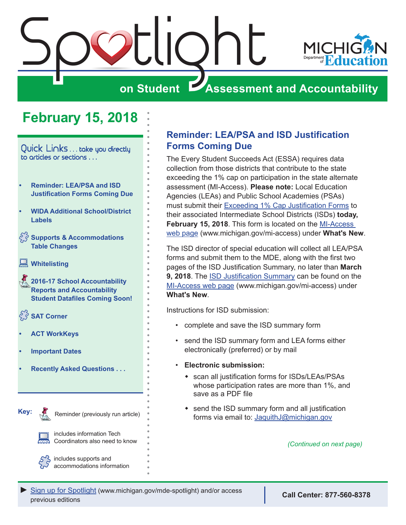<span id="page-0-0"></span>

# **February 15, 2018**

Quick Links . . . take you directly to articles or sections . . .

- **• Reminder: LEA/PSA and ISD Justification Forms Coming Due**
- **• [WIDA Additional School/District](#page-1-0)  [Labels](#page-1-0)**
- **[Supports & Accommodations](#page-1-0)  [Table Changes](#page-1-0)**
- **[Whitelisting](#page-2-0)**
- Reminders **[2016-17 School Accountability](#page-2-0)  [Reports and Accountability](#page-2-0)  [Student Datafiles Coming Soon!](#page-2-0)**
- $\frac{55}{5}$  **SAT Corner**
- **• [ACT WorkKeys](#page-4-0)**
- **• [Important Dates](#page-5-0)**

Reminders

- **• [Recently Asked Questions . . .](#page-6-0)**
- **Key:**

Reminder (previously run article)

includes information Tech Coordinators also need to know

includes supports and accommodations information

### **Reminder: LEA/PSA and ISD Justification Forms Coming Due**

The Every Student Succeeds Act (ESSA) requires data collection from those districts that contribute to the state exceeding the 1% cap on participation in the state alternate assessment (MI-Access). **Please note:** Local Education Agencies (LEAs) and Public School Academies (PSAs) must submit their [Exceeding 1% Cap Justification Forms](http://www.michigan.gov/documents/mde/1PctCap_Justification_Form_Final_609993_7.pdf) to their associated Intermediate School Districts (ISDs) **today, February 15, 2018**. This form is located on the [MI-Access](http://www.michigan.gov/mi-access)  [web page](http://www.michigan.gov/mi-access) ([www.michigan.gov/mi-access](http://www.michigan.gov/mi-access)) under **What's New**.

The ISD director of special education will collect all LEA/PSA forms and submit them to the MDE, along with the first two pages of the ISD Justification Summary, no later than **March 9, 2018**. The [ISD Justification Summary](http://www.michigan.gov/documents/mde/1PctCap_Justification_ISDForm_Final_613255_7.pdf) can be found on the [MI-Access web page](http://www.michigan.gov/mi-access) [\(www.michigan.gov/mi-access\)](http://www.michigan.gov/mi-access) under **What's New**.

Instructions for ISD submission:

- complete and save the ISD summary form
- send the ISD summary form and LEA forms either electronically (preferred) or by mail
- **Electronic submission:**
	- scan all justification forms for ISDs/LEAs/PSAs whose participation rates are more than 1%, and save as a PDF file
	- $\bullet$  send the ISD summary form and all justification forms via email to: [JaquithJ@michigan.gov](mailto:JaquithJ%40michigan.gov?subject=)

*(Continued on next page)*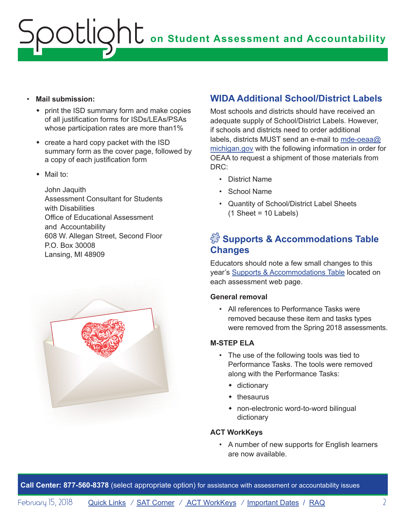#### <span id="page-1-0"></span>• **Mail submission:**

- $\bullet$  print the ISD summary form and make copies of all justification forms for ISDs/LEAs/PSAs whose participation rates are more than1%
- $\bullet$  create a hard copy packet with the ISD summary form as the cover page, followed by a copy of each justification form
- $\bullet$  Mail to:

John Jaquith Assessment Consultant for Students with Disabilities Office of Educational Assessment and Accountability 608 W. Allegan Street, Second Floor P.O. Box 30008 Lansing, MI 48909



## **WIDA Additional School/District Labels**

Most schools and districts should have received an adequate supply of School/District Labels. However, if schools and districts need to order additional labels, districts MUST send an e-mail to [mde-oeaa@](mailto:mde-oeaa%40michigan.gov?subject=) [michigan.gov](mailto:mde-oeaa%40michigan.gov?subject=) with the following information in order for OEAA to request a shipment of those materials from DRC:

- District Name
- School Name
- Quantity of School/District Label Sheets  $(1 \text{ Sheet} = 10 \text{ Labels})$

## $\sqrt{3}$  Supports & Accommodations Table **Changes**

Educators should note a few small changes to this year's [Supports & Accommodations Table](http://www.michigan.gov/documents/mde/M-STEP_Supports_and__Accommodations_Table_477120_7.pdf) located on each assessment web page.

#### **General removal**

• All references to Performance Tasks were removed because these item and tasks types were removed from the Spring 2018 assessments.

#### **M-STEP ELA**

- The use of the following tools was tied to Performance Tasks. The tools were removed along with the Performance Tasks:
	- $\bullet$  dictionary
	- $\bullet$  thesaurus
	- non-electronic word-to-word bilingual dictionary

#### **ACT WorkKeys**

• A number of new supports for English learners are now available.

**Call Center: 877-560-8378** (select appropriate option) for assistance with assessment or accountability issues

February 15, 2018 **[Quick Links](#page-0-0)** / **[SAT Corner](#page-3-1)** / **[ACT WorkKeys](#page-4-1)** / **[Important Dates](#page-5-1)** / **[RAQ](#page-6-1)** 2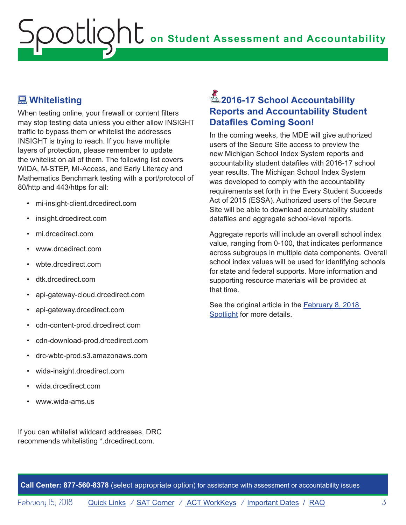## <span id="page-2-0"></span> **Whitelisting**

When testing online, your firewall or content filters may stop testing data unless you either allow INSIGHT traffic to bypass them or whitelist the addresses INSIGHT is trying to reach. If you have multiple layers of protection, please remember to update the whitelist on all of them. The following list covers WIDA, M-STEP, MI-Access, and Early Literacy and Mathematics Benchmark testing with a port/protocol of 80/http and 443/https for all:

- mi-insight-client.drcedirect.com
- insight.drcedirect.com
- mi.drcedirect.com
- www.drcedirect.com
- wbte.drcedirect.com
- dtk.drcedirect.com
- api-gateway-cloud.drcedirect.com
- api-gateway.drcedirect.com
- cdn-content-prod.drcedirect.com
- cdn-download-prod.drcedirect.com
- drc-wbte-prod.s3.amazonaws.com
- wida-insight.drcedirect.com
- wida.drcedirect.com
- www.wida-ams.us

If you can whitelist wildcard addresses, DRC recommends whitelisting \*.drcedirect.com.

# Reminders **2016-17 School Accountability Reports and Accountability Student Datafiles Coming Soon!**

In the coming weeks, the MDE will give authorized users of the Secure Site access to preview the new Michigan School Index System reports and accountability student datafiles with 2016-17 school year results. The Michigan School Index System was developed to comply with the accountability requirements set forth in the Every Student Succeeds Act of 2015 (ESSA). Authorized users of the Secure Site will be able to download accountability student datafiles and aggregate school-level reports.

Aggregate reports will include an overall school index value, ranging from 0-100, that indicates performance across subgroups in multiple data components. Overall school index values will be used for identifying schools for state and federal supports. More information and supporting resource materials will be provided at that time.

See the original article in the February 8, 2018 Spotlight for more details.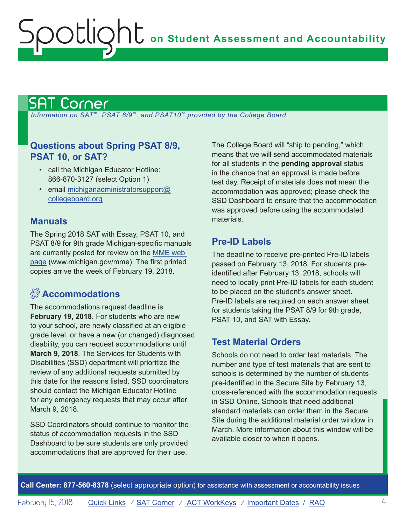# <span id="page-3-1"></span>SAT Corner

<span id="page-3-0"></span>Spotlight

 *Information on SAT*™*, PSAT 8/9*™*, and PSAT10*™ *provided by the College Board*

### **Questions about Spring PSAT 8/9, PSAT 10, or SAT?**

- call the Michigan Educator Hotline: 866-870-3127 (select Option 1)
- email [michiganadministratorsupport@](mailto:michiganadministratorsupport%40collegeboard.org?subject=) [collegeboard.org](mailto:michiganadministratorsupport%40collegeboard.org?subject=)

### **Manuals**

The Spring 2018 SAT with Essay, PSAT 10, and PSAT 8/9 for 9th grade Michigan-specific manuals are currently posted for review on the [MME web](www.michigan.gov/mme)  [page](www.michigan.gov/mme) (<www.michigan.gov/mme>). The first printed copies arrive the week of February 19, 2018.

# $\hat{E}^{\hat{S}}$  **Accommodations**

The accommodations request deadline is **February 19, 2018**. For students who are new to your school, are newly classified at an eligible grade level, or have a new (or changed) diagnosed disability, you can request accommodations until **March 9, 2018**. The Services for Students with Disabilities (SSD) department will prioritize the review of any additional requests submitted by this date for the reasons listed. SSD coordinators should contact the Michigan Educator Hotline for any emergency requests that may occur after March 9, 2018.

SSD Coordinators should continue to monitor the status of accommodation requests in the SSD Dashboard to be sure students are only provided accommodations that are approved for their use.

The College Board will "ship to pending," which means that we will send accommodated materials for all students in the **pending approval** status in the chance that an approval is made before test day. Receipt of materials does **not** mean the accommodation was approved; please check the SSD Dashboard to ensure that the accommodation was approved before using the accommodated materials.

## **Pre-ID Labels**

The deadline to receive pre-printed Pre-ID labels passed on February 13, 2018. For students preidentified after February 13, 2018, schools will need to locally print Pre-ID labels for each student to be placed on the student's answer sheet. Pre-ID labels are required on each answer sheet for students taking the PSAT 8/9 for 9th grade, PSAT 10, and SAT with Essay.

## **Test Material Orders**

Schools do not need to order test materials. The number and type of test materials that are sent to schools is determined by the number of students pre-identified in the Secure Site by February 13, cross-referenced with the accommodation requests in SSD Online. Schools that need additional standard materials can order them in the Secure Site during the additional material order window in March. More information about this window will be available closer to when it opens.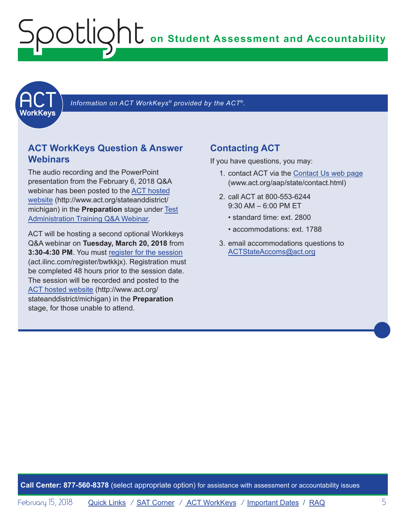<span id="page-4-1"></span><span id="page-4-0"></span>

 *Information on ACT WorkKeys® provided by the ACT*®*.*

### **ACT WorkKeys Question & Answer Webinars**

The audio recording and the PowerPoint presentation from the February 6, 2018 Q&A webinar has been posted to the [ACT hosted](http://www.act.org/stateanddistrict/michigan)  [website](http://www.act.org/stateanddistrict/michigan) ([http://www.act.org/stateanddistrict/](http://www.act.org/stateanddistrict/michigan) [michigan\)](http://www.act.org/stateanddistrict/michigan) in the **Preparation** stage under [Test](https://www.act.org/content/dam/act/unsecured/documents/RecordedWebinar-MIWorkKeysTestAdminQandA1.pdf)  [Administration Training Q&A Webinar.](https://www.act.org/content/dam/act/unsecured/documents/RecordedWebinar-MIWorkKeysTestAdminQandA1.pdf)

ACT will be hosting a second optional Workkeys Q&A webinar on **Tuesday, March 20, 2018** from **3:30-4:30 PM**. You must register for the session (act.ilinc.com/register/bwtkkjx). Registration must be completed 48 hours prior to the session date. The session will be recorded and posted to the [ACT hosted website \(http://www.act.org/](http://www.act.org/stateanddistrict/michigan) [stateanddistrict/michigan\)](http://www.act.org/stateanddistrict/michigan) in the **Preparation** stage, for those unable to attend.

### **Contacting ACT**

If you have questions, you may:

- 1. contact ACT via the [Contact Us web page](http://www.act.org/aap/state/contact.html) (<www.act.org/aap/state/contact.html>)
- 2. call ACT at 800-553-6244 9:30 AM – 6:00 PM ET
	- standard time: ext. 2800
	- accommodations: ext. 1788
- 3. email accommodations questions to [ACTStateAccoms@act.org](mailto:ACTStateAccoms%40act.org?subject=)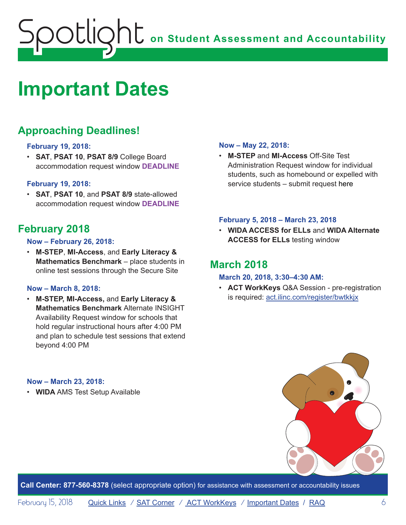# <span id="page-5-1"></span><span id="page-5-0"></span>**Important Dates**

# **Approaching Deadlines!**

#### **February 19, 2018:**

• **SAT**, **PSAT 10**, **PSAT 8/9** College Board accommodation request window **DEADLINE**

#### **February 19, 2018:**

• **SAT**, **PSAT 10**, and **PSAT 8/9** state-allowed accommodation request window **DEADLINE**

## **February 2018**

#### **Now – February 26, 2018:**

• **M-STEP**, **MI-Access**, and **Early Literacy & Mathematics Benchmark** – place students in online test sessions through the Secure Site

#### **Now – March 8, 2018:**

• **M-STEP, MI-Access,** and **Early Literacy & Mathematics Benchmark** Alternate INSIGHT Availability Request window for schools that hold regular instructional hours after 4:00 PM and plan to schedule test sessions that extend beyond 4:00 PM

#### **Now – May 22, 2018:**

• **M-STEP** and **MI-Access** Off-Site Test Administration Request window for individual students, such as homebound or expelled with service students – submit request here

#### **February 5, 2018 – March 23, 2018**

• **WIDA ACCESS for ELLs** and **WIDA Alternate ACCESS for ELLs** testing window

### **March 2018**

#### **March 20, 2018, 3:30–4:30 AM:**

• **ACT WorkKeys** Q&A Session - pre-registration is required: act.ilinc.com/register/bwtkkjx

#### **Now – March 23, 2018:**

• **WIDA** AMS Test Setup Available

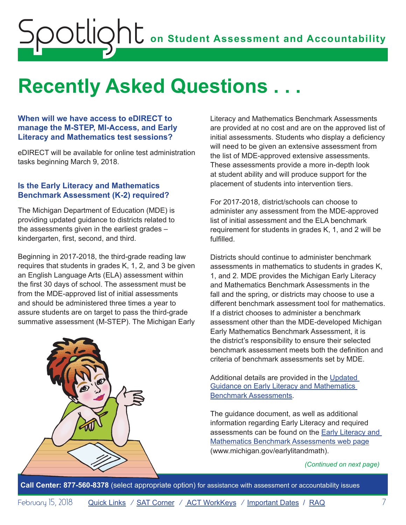# <span id="page-6-1"></span><span id="page-6-0"></span>**Recently Asked Questions . . .**

#### **When will we have access to eDIRECT to manage the M-STEP, MI-Access, and Early Literacy and Mathematics test sessions?**

eDIRECT will be available for online test administration tasks beginning March 9, 2018.

#### **Is the Early Literacy and Mathematics Benchmark Assessment (K-2) required?**

The Michigan Department of Education (MDE) is providing updated guidance to districts related to the assessments given in the earliest grades – kindergarten, first, second, and third.

Beginning in 2017-2018, the third-grade reading law requires that students in grades K, 1, 2, and 3 be given an English Language Arts (ELA) assessment within the first 30 days of school. The assessment must be from the MDE-approved list of initial assessments and should be administered three times a year to assure students are on target to pass the third-grade summative assessment (M-STEP). The Michigan Early



Literacy and Mathematics Benchmark Assessments are provided at no cost and are on the approved list of initial assessments. Students who display a deficiency will need to be given an extensive assessment from the list of MDE-approved extensive assessments. These assessments provide a more in-depth look at student ability and will produce support for the placement of students into intervention tiers.

For 2017-2018, district/schools can choose to administer any assessment from the MDE-approved list of initial assessment and the ELA benchmark requirement for students in grades K, 1, and 2 will be fulfilled.

Districts should continue to administer benchmark assessments in mathematics to students in grades K, 1, and 2. MDE provides the Michigan Early Literacy and Mathematics Benchmark Assessments in the fall and the spring, or districts may choose to use a different benchmark assessment tool for mathematics. If a district chooses to administer a benchmark assessment other than the MDE-developed Michigan Early Mathematics Benchmark Assessment, it is the district's responsibility to ensure their selected benchmark assessment meets both the definition and criteria of benchmark assessments set by MDE.

Additional details are provided in the [Updated](http://www.michigan.gov/documents/mde/Revised_Guidance_on_Early_Literacy_and_Mathematics_Benchmark_Assessments_Final_9.28.17_ada_602853_7.pdf)  [Guidance on Early Literacy and Mathematics](http://www.michigan.gov/documents/mde/Revised_Guidance_on_Early_Literacy_and_Mathematics_Benchmark_Assessments_Final_9.28.17_ada_602853_7.pdf)  [Benchmark Assessments.](http://www.michigan.gov/documents/mde/Revised_Guidance_on_Early_Literacy_and_Mathematics_Benchmark_Assessments_Final_9.28.17_ada_602853_7.pdf)

The guidance document, as well as additional information regarding Early Literacy and required assessments can be found on the [Early Literacy and](www.michigan.gov/earlylitandmath)  [Mathematics Benchmark Assessments web page](www.michigan.gov/earlylitandmath) ([www.michigan.gov/earlylitandmath\)](www.michigan.gov/earlylitandmath).

#### *(Continued on next page)*